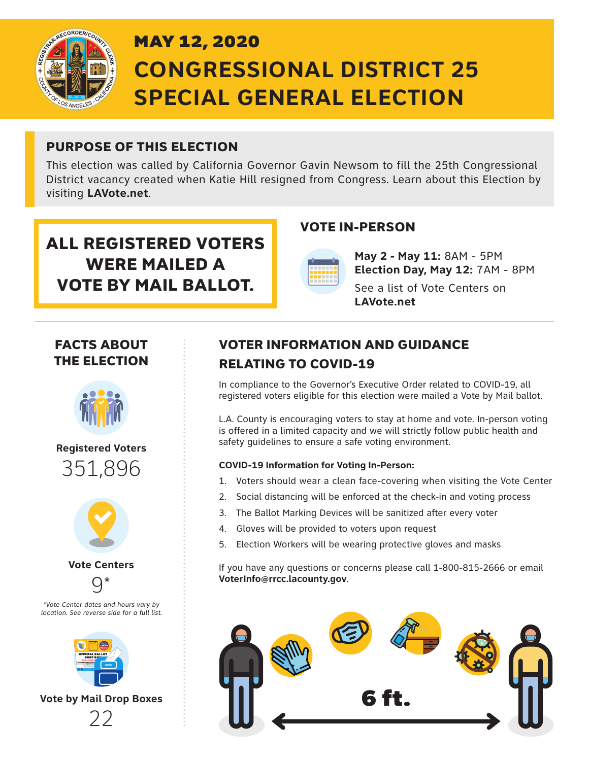

# MAY 12, 2020 **CONGRESSIONAL DISTRICT 25 SPECIAL GENERAL ELECTION**

### PURPOSE OF THIS ELECTION

This election was called by California Governor Gavin Newsom to fill the 25th Congressional District vacancy created when Katie Hill resigned from Congress. Learn about this Election by visiting **LAVote.net**.

## ALL REGISTERED VOTERS WERE MAILED A VOTE BY MAIL BALLOT.

**May 2 - May 11:** 8AM - 5PM **Election Day, May 12:** 7AM - 8PM

See a list of Vote Centers on **LAVote.net**

### FACTS ABOUT THE ELECTION



### **Registered Voters** 351,896



**Vote Centers**  $Q*$ 





**Vote by Mail Drop Boxes**  $22$ 

### VOTER INFORMATION AND GUIDANCE RELATING TO COVID-19

VOTE IN-PERSON

In compliance to the Governor's Executive Order related to COVID-19, all registered voters eligible for this election were mailed a Vote by Mail ballot.

L.A. County is encouraging voters to stay at home and vote. In-person voting is offered in a limited capacity and we will strictly follow public health and safety guidelines to ensure a safe voting environment.

### **COVID-19 Information for Voting In-Person:**

- 1. Voters should wear a clean face-covering when visiting the Vote Center
- 2. Social distancing will be enforced at the check-in and voting process
- 3. The Ballot Marking Devices will be sanitized after every voter
- 4. Gloves will be provided to voters upon request
- 5. Election Workers will be wearing protective gloves and masks

If you have any questions or concerns please call 1-800-815-2666 or email **VoterInfo@rrcc.lacounty.gov**.